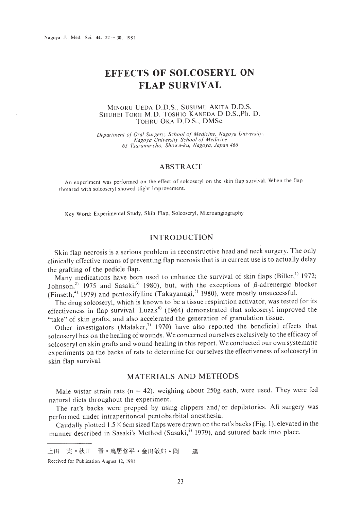# **EFFECTS OF SOLCOSERYL ON FLAP SURVIVAL**

## MINORU VEDA D.D.S., SUSUMU AKITA D.D.S. SHUHEI TORI! M.D. TOSHIO KANEDA D.D.S.,Ph. D. TOHRU OKA D.D.S., DMSc.

*Department of Oral Surgery, School of Medicine, Nagoya University. Nagoya Universitl· School of Medicine 65 Twruma-cho. Showa-ku. Nagoya, Japan 466*

# ABSTRACT

An experiment was performed on the effeet of solcoseryl on the skin flap survival. When the flap threared with solcoseryl showed slight improvement.

Key Word: Experimental Study, Skih Flap, Solcoseryl, Microangiography

# INTRODUCTION

Skin flap necrosis is a serious problem in reconstructive head and neck surgery. The only clinically effective means of preventing flap necrosis that is in current use is to actually delay the grafting of the pedicle flap.

Many medications have been used to enhance the survival of skin flaps (Biller,<sup>1)</sup> 1972; Johnson,<sup>21</sup> 1975 and Sasaki,<sup>31</sup> 1980), but, with the exceptions of  $\beta$ -adrenergic blocker (Finseth,<sup>4)</sup> 1979) and pentoxifylline (Takayanagi,<sup>5)</sup> 1980), were mostly unsuccessful.

The drug solcoseryl, which is known to be a tissue respiration activator, was tested for its effectiveness in flap survival. Luzak<sup>6)</sup> (1964) demonstrated that solcoseryl improved the "take" of skin grafts, and also accelerated the generation of granulation tissue.

Other investigators (Malaker,<sup>7)</sup> 1970) have also reported the beneficial effects that solcoseryl has on the healing ofwounds. We concerned ourselves exclusively to the efficacy of solcoseryl on skin grafts and wound healing in this report. We conducted our own systematic experiments on the backs of rats to determine for ourselves the effectiveness of solcoseryl in skin flap survival.

# MATERIALS AND METHODS

Male wistar strain rats ( $n = 42$ ), weighing about 250g each, were used. They were fed natural diets throughout the experiment.

The rat's backs were prepped by using clippers and/ or depilatories. All surgery was performed under intraperitoneal pentobarbital anesthesia.

Caudally plotted  $1.5 \times$  6cm sized flaps were drawn on the rat's backs (Fig. 1), elevated in the manner described in Sasaki's Method (Sasaki,<sup>8)</sup> 1979), and sutured back into place.

Received for Publication August 12, 1981

上田 実·秋田 晋·鳥居修平·金田敏郎·岡 達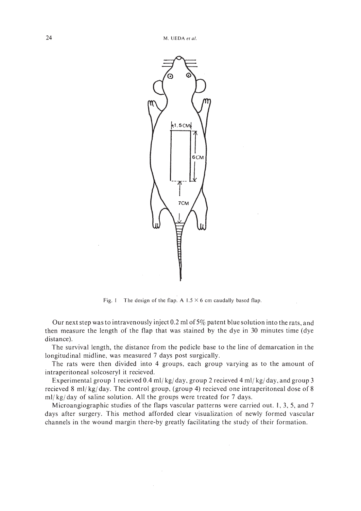

Fig. 1 The design of the flap. A  $1.5 \times 6$  cm caudally based flap.

Our next step was to intravenously inject 0.2 ml of5% patent blue solution into the rats, and then measure the length of the flap that was stained by the dye in 30 minutes time (dye distance).

The survival length, the distance from the pedicle base to the line of demarcation in the longitudinal midline, was measured 7 days post surgically.

The rats were then divided into 4 groups, each group varying as to the amount of intraperitoneal solcoseryl it recieved.

Experimental group I recieved 0.4 ml/ kg/ day, group 2 recieved 4 ml/ kg/ day, and group 3 recieved 8 ml/ kg/ day. The control group, (group 4) recieved one intraperitoneal dose of 8 ml/ kg/ day of saline solution. All the groups were treated for 7 days.

Microangiographic studies of the flaps vascular patterns were carried out. I, 3, 5, and 7 days after surgery. This method afforded clear visualization of newly formed vascular channels in the wound margin there-by greatly facilitating the study of their formation.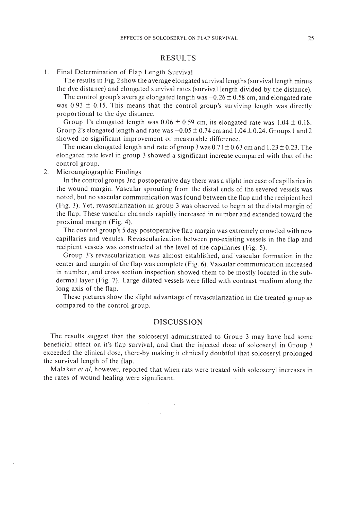## RESULTS

#### I. Final Determination of Flap Length Survival

The results in Fig. 2 show the average elongated survival lengths (survival length minus the dye distance) and elongated survival rates (survival length divided by the distance).

The control group's average elongated length was  $-0.26 \pm 0.58$  cm, and elongated rate was  $0.93 \pm 0.15$ . This means that the control group's surviving length was directly proportional to the dye distance.

Group 1's elongated length was  $0.06 \pm 0.59$  cm, its elongated rate was  $1.04 \pm 0.18$ . Group 2's elongated length and rate was  $-0.05 \pm 0.74$  cm and  $1.04 \pm 0.24$ . Groups 1 and 2 showed no significant improvement or measurable difference.

The mean elongated length and rate of group 3 was  $0.71 \pm 0.63$  cm and  $1.23 \pm 0.23$ . The elongated rate level in group 3 showed a significant increase compared with that of the control group.

2. Microangiographic Findings

In the control groups 3rd postoperative day there was a slight increase of capillaries in the wound margin. Vascular sprouting from the distal ends of the severed vessels was noted, but no vascular communication was found between the flap and the recipient bed (Fig. 3). Yet, revascularization in group 3 was observed to begin at the distal margin of the flap. These vascular channels rapidly increased in number and extended toward the proximal margin (Fig. 4).

The control group's 5 day postoperative flap margin was extremely crowded with new capillaries and venules. Revascularization between pre-existing vessels in the flap and recipient vessels was constructed at the level of the capillaries (Fig. 5).

Group 3's revascularization was almost established, and vascular formation in the center and margin of the flap was complete (Fig. 6). Vascular communication increased in number, and cross section inspection showed them to be mostly located in the subdermal layer (Fig. 7). Large dilated vessels were filled with contrast medium along the long axis of the flap.

These pictures show the slight advantage of revascularization in the treated group as compared to the control group.

## DISCUSSION

The results suggest that the solcoseryl administrated to Group 3 may have had some beneficial effect on it's flap survival, and that the injected dose of solcoseryl in Group 3 exceeded the clinical dose, there-by making it clinically doubtful that solcoseryl prolonged the survival length of the flap.

Malaker *et ai,* however, reported that when rats were treated with solcoseryl increases in the rates of wound healing were significant.

 $\label{eq:2.1} \sum_{i=1}^n \sum_{j=1}^n \left\{ \frac{1}{\sqrt{2\pi}} \sum_{j=1}^n \frac{1}{\sqrt{2\pi}} \right\} \left( \frac{1}{\sqrt{2\pi}} \right)^n \left( \frac{1}{\sqrt{2\pi}} \right)^n \left( \frac{1}{\sqrt{2\pi}} \right)^n.$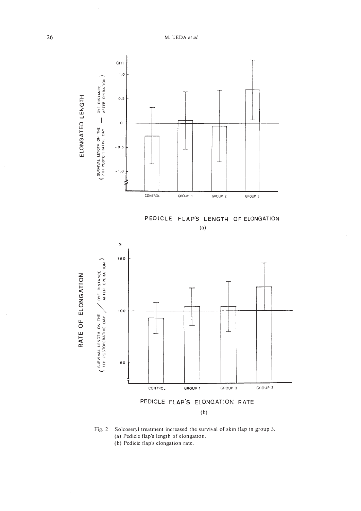26 M. VEDA *et al.*



Fig. 2 Solcoseryl treatment increased the survival of skin flap in group J. (al Pedicle flap's length of elongation. (b) Pedicle flap's elongation rate.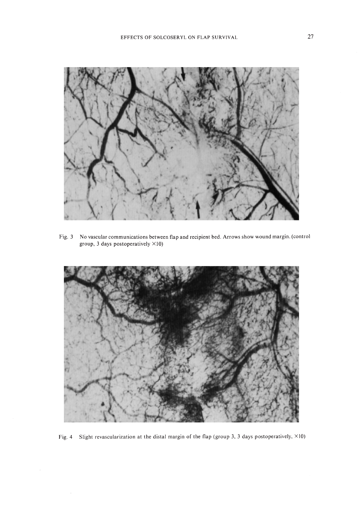

Fig. 3 No vascular communications between flap and recipient bed. Arrows show wound margin. (control group, 3 days postoperatively  $\times$ 10)



Fig. 4 Slight revascularization at the distal margin of the flap (group 3. 3 days postoperatively, X10)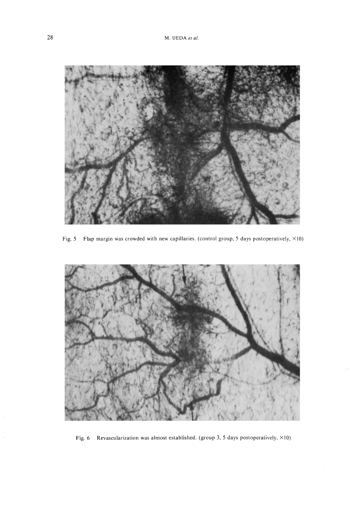

Fig. 5 Flap margin was crowded with new capillaries. (control group, 5 days postoperatively,  $\times$ 10)



Fig. 6 Revascularization was almost established. (group 3, 5 days postoperatively,  $\times$ 10)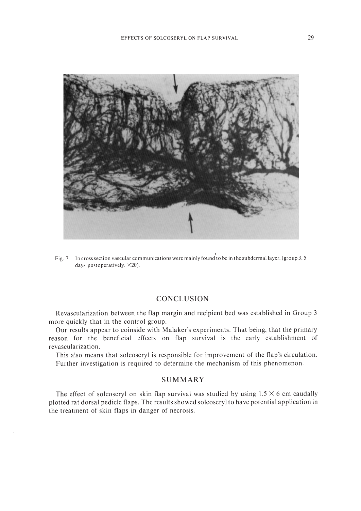

\ Fig. 7 In cross section vascular communications were mainly found to be in the subdermallaycr. (group 3. 5 days postoperatively. X20).

## **CONCLUSION**

Revascularization between the flap margin and recipient bed was established in Group 3 more quickly that in the control group.

Our results appear to coinside with Malaker's experiments. That being, that the primary reason for the beneficial effects on flap survival is the early establishment of revascularization.

This also means that solcoseryl is responsible for improvement of the flap's circulation. Further investigation is required to determine the mechanism of this phenomenon.

## **SUMMARY**

The effect of solcoseryl on skin flap survival was studied by using  $1.5 \times 6$  cm caudally plotted rat dorsal pedicle flaps. The results showed solcoseryl to have potential application in the treatment of skin flaps in danger of necrosis.